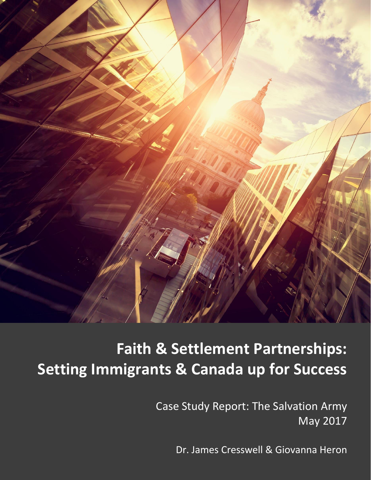

# **Faith & Settlement Partnerships: Setting Immigrants & Canada up for Success**

Case Study Report: The Salvation Army May 2017

Dr. James Cresswell & Giovanna Heron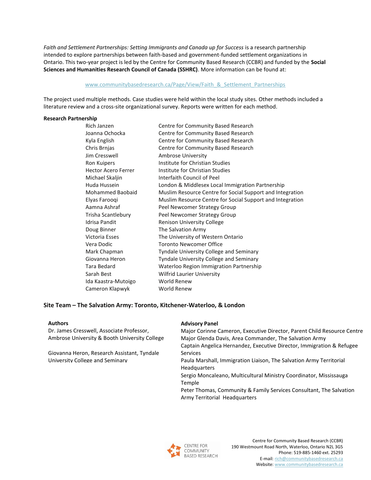Faith and Settlement Partnerships: Setting Immigrants and Canada up for Success is a research partnership intended to explore partnerships between faith-based and government-funded settlement organizations in Ontario. This two-year project is led by the Centre for Community Based Research (CCBR) and funded by the **Social Sciences and Humanities Research Council of Canada (SSHRC)**. More information can be found at:

## [www.communitybasedresearch.ca/Page/View/Faith\\_&\\_Settlement\\_Partnerships](http://www.communitybasedresearch.ca/Page/View/Faith_&_Settlement_Partnerships)

The project used multiple methods. Case studies were held within the local study sites. Other methods included a literature review and a cross-site organizational survey. Reports were written for each method.

#### **Research Partnership**

| Rich Janzen                | Centre for Community Based Research                       |
|----------------------------|-----------------------------------------------------------|
| Joanna Ochocka             | Centre for Community Based Research                       |
| Kyla English               | Centre for Community Based Research                       |
| Chris Brnjas               | Centre for Community Based Research                       |
| Jim Cresswell              | <b>Ambrose University</b>                                 |
| Ron Kuipers                | Institute for Christian Studies                           |
| <b>Hector Acero Ferrer</b> | Institute for Christian Studies                           |
| Michael Skaljin            | Interfaith Council of Peel                                |
| Huda Hussein               | London & Middlesex Local Immigration Partnership          |
| <b>Mohammed Baobaid</b>    | Muslim Resource Centre for Social Support and Integration |
| Elyas Faroogi              | Muslim Resource Centre for Social Support and Integration |
| Aamna Ashraf               | Peel Newcomer Strategy Group                              |
| Trisha Scantlebury         | Peel Newcomer Strategy Group                              |
| Idrisa Pandit              | <b>Renison University College</b>                         |
| Doug Binner                | The Salvation Army                                        |
| Victoria Esses             | The University of Western Ontario                         |
| Vera Dodic                 | Toronto Newcomer Office                                   |
| Mark Chapman               | <b>Tyndale University College and Seminary</b>            |
| Giovanna Heron             | <b>Tyndale University College and Seminary</b>            |
| Tara Bedard                | Waterloo Region Immigration Partnership                   |
| Sarah Best                 | <b>Wilfrid Laurier University</b>                         |
| Ida Kaastra-Mutoigo        | World Renew                                               |
| Cameron Klapwyk            | <b>World Renew</b>                                        |
|                            |                                                           |

# **Site Team – The Salvation Army: Toronto, Kitchener-Waterloo, & London**

# **Authors**

Dr. James Cresswell, Associate Professor, Ambrose University & Booth University College

Giovanna Heron, Research Assistant, Tyndale University College and Seminary

#### **Advisory Panel**

Major Corinne Cameron, Executive Director, Parent Child Resource Centre Major Glenda Davis, Area Commander, The Salvation Army Captain Angelica Hernandez, Executive Director, Immigration & Refugee Services Paula Marshall, Immigration Liaison, The Salvation Army Territorial Headquarters Sergio Moncaleano, Multicultural Ministry Coordinator, Mississauga Temple Peter Thomas, Community & Family Services Consultant, The Salvation Army Territorial Headquarters

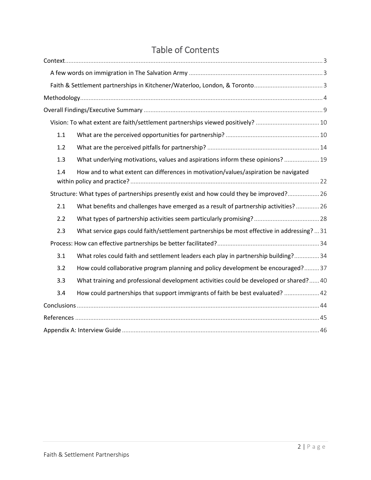<span id="page-2-0"></span>

|     | Vision: To what extent are faith/settlement partnerships viewed positively? 10            |  |
|-----|-------------------------------------------------------------------------------------------|--|
| 1.1 |                                                                                           |  |
| 1.2 |                                                                                           |  |
| 1.3 | What underlying motivations, values and aspirations inform these opinions?  19            |  |
| 1.4 | How and to what extent can differences in motivation/values/aspiration be navigated       |  |
|     | Structure: What types of partnerships presently exist and how could they be improved? 26  |  |
| 2.1 | What benefits and challenges have emerged as a result of partnership activities? 26       |  |
| 2.2 |                                                                                           |  |
| 2.3 | What service gaps could faith/settlement partnerships be most effective in addressing? 31 |  |
|     |                                                                                           |  |
| 3.1 | What roles could faith and settlement leaders each play in partnership building? 34       |  |
| 3.2 | How could collaborative program planning and policy development be encouraged?37          |  |
| 3.3 | What training and professional development activities could be developed or shared?40     |  |
| 3.4 | How could partnerships that support immigrants of faith be best evaluated?  42            |  |
|     |                                                                                           |  |
|     |                                                                                           |  |
|     |                                                                                           |  |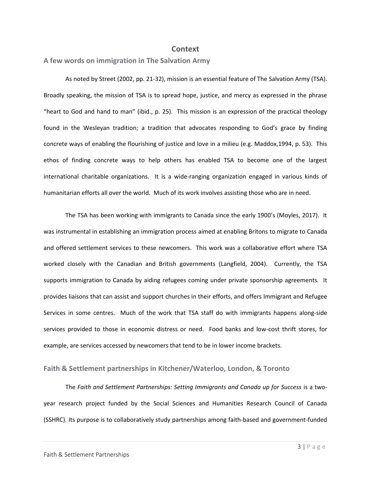# **Context**

<span id="page-3-0"></span>**A few words on immigration in The Salvation Army**

As noted by Street (2002, pp. 21-32), mission is an essential feature of The Salvation Army (TSA). Broadly speaking, the mission of TSA is to spread hope, justice, and mercy as expressed in the phrase "heart to God and hand to man" (ibid., p. 25). This mission is an expression of the practical theology found in the Wesleyan tradition; a tradition that advocates responding to God's grace by finding concrete ways of enabling the flourishing of justice and love in a milieu (e.g. Maddox,1994, p. 53). This ethos of finding concrete ways to help others has enabled TSA to become one of the largest international charitable organizations. It is a wide-ranging organization engaged in various kinds of humanitarian efforts all over the world. Much of its work involves assisting those who are in need.

The TSA has been working with immigrants to Canada since the early 1900's (Moyles, 2017). It was instrumental in establishing an immigration process aimed at enabling Britons to migrate to Canada and offered settlement services to these newcomers. This work was a collaborative effort where TSA worked closely with the Canadian and British governments (Langfield, 2004). Currently, the TSA supports immigration to Canada by aiding refugees coming under private sponsorship agreements. It provides liaisons that can assist and support churches in their efforts, and offers Immigrant and Refugee Services in some centres. Much of the work that TSA staff do with immigrants happens along-side services provided to those in economic distress or need. Food banks and low-cost thrift stores, for example, are services accessed by newcomers that tend to be in lower income brackets.

# <span id="page-3-1"></span>**Faith & Settlement partnerships in Kitchener/Waterloo, London, & Toronto**

The *Faith and Settlement Partnerships: Setting Immigrants and Canada up for Success* is a twoyear research project funded by the Social Sciences and Humanities Research Council of Canada (SSHRC). Its purpose is to collaboratively study partnerships among faith-based and government-funded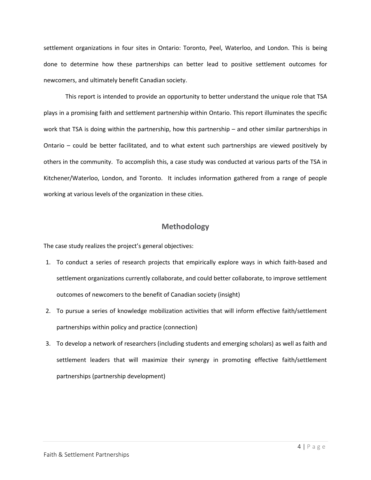settlement organizations in four sites in Ontario: Toronto, Peel, Waterloo, and London. This is being done to determine how these partnerships can better lead to positive settlement outcomes for newcomers, and ultimately benefit Canadian society.

This report is intended to provide an opportunity to better understand the unique role that TSA plays in a promising faith and settlement partnership within Ontario. This report illuminates the specific work that TSA is doing within the partnership, how this partnership – and other similar partnerships in Ontario – could be better facilitated, and to what extent such partnerships are viewed positively by others in the community. To accomplish this, a case study was conducted at various parts of the TSA in Kitchener/Waterloo, London, and Toronto. It includes information gathered from a range of people working at various levels of the organization in these cities.

# **Methodology**

<span id="page-4-0"></span>The case study realizes the project's general objectives:

- 1. To conduct a series of research projects that empirically explore ways in which faith-based and settlement organizations currently collaborate, and could better collaborate, to improve settlement outcomes of newcomers to the benefit of Canadian society (insight)
- 2. To pursue a series of knowledge mobilization activities that will inform effective faith/settlement partnerships within policy and practice (connection)
- 3. To develop a network of researchers (including students and emerging scholars) as well as faith and settlement leaders that will maximize their synergy in promoting effective faith/settlement partnerships (partnership development)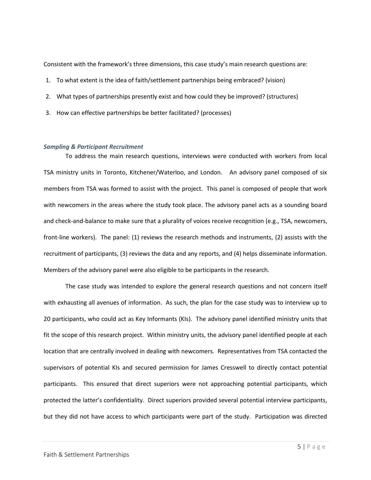Consistent with the framework's three dimensions, this case study's main research questions are:

- 1. To what extent is the idea of faith/settlement partnerships being embraced? (vision)
- 2. What types of partnerships presently exist and how could they be improved? (structures)
- 3. How can effective partnerships be better facilitated? (processes)

#### *Sampling & Participant Recruitment*

To address the main research questions, interviews were conducted with workers from local TSA ministry units in Toronto, Kitchener/Waterloo, and London. An advisory panel composed of six members from TSA was formed to assist with the project. This panel is composed of people that work with newcomers in the areas where the study took place. The advisory panel acts as a sounding board and check-and-balance to make sure that a plurality of voices receive recognition (e.g., TSA, newcomers, front-line workers). The panel: (1) reviews the research methods and instruments, (2) assists with the recruitment of participants, (3) reviews the data and any reports, and (4) helps disseminate information. Members of the advisory panel were also eligible to be participants in the research.

The case study was intended to explore the general research questions and not concern itself with exhausting all avenues of information. As such, the plan for the case study was to interview up to 20 participants, who could act as Key Informants (KIs). The advisory panel identified ministry units that fit the scope of this research project. Within ministry units, the advisory panel identified people at each location that are centrally involved in dealing with newcomers. Representatives from TSA contacted the supervisors of potential KIs and secured permission for James Cresswell to directly contact potential participants. This ensured that direct superiors were not approaching potential participants, which protected the latter's confidentiality. Direct superiors provided several potential interview participants, but they did not have access to which participants were part of the study. Participation was directed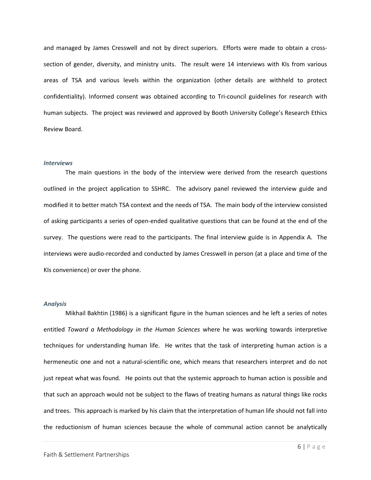and managed by James Cresswell and not by direct superiors. Efforts were made to obtain a crosssection of gender, diversity, and ministry units. The result were 14 interviews with KIs from various areas of TSA and various levels within the organization (other details are withheld to protect confidentiality). Informed consent was obtained according to Tri-council guidelines for research with human subjects. The project was reviewed and approved by Booth University College's Research Ethics Review Board.

#### *Interviews*

The main questions in the body of the interview were derived from the research questions outlined in the project application to SSHRC. The advisory panel reviewed the interview guide and modified it to better match TSA context and the needs of TSA. The main body of the interview consisted of asking participants a series of open-ended qualitative questions that can be found at the end of the survey. The questions were read to the participants. The final interview guide is in Appendix A. The interviews were audio-recorded and conducted by James Cresswell in person (at a place and time of the KIs convenience) or over the phone.

#### *Analysis*

Mikhail Bakhtin (1986) is a significant figure in the human sciences and he left a series of notes entitled *Toward a Methodology in the Human Sciences* where he was working towards interpretive techniques for understanding human life. He writes that the task of interpreting human action is a hermeneutic one and not a natural-scientific one, which means that researchers interpret and do not just repeat what was found. He points out that the systemic approach to human action is possible and that such an approach would not be subject to the flaws of treating humans as natural things like rocks and trees. This approach is marked by his claim that the interpretation of human life should not fall into the reductionism of human sciences because the whole of communal action cannot be analytically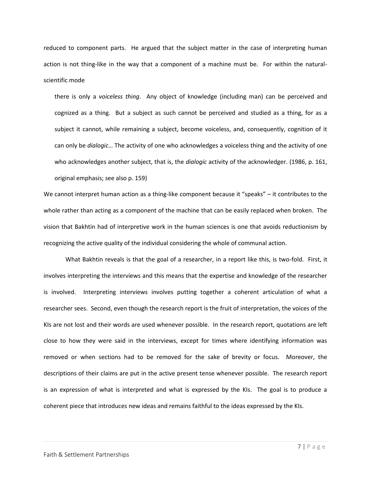reduced to component parts. He argued that the subject matter in the case of interpreting human action is not thing-like in the way that a component of a machine must be. For within the naturalscientific mode

there is only a *voiceless thing*. Any object of knowledge (including man) can be perceived and cognized as a thing. But a subject as such cannot be perceived and studied as a thing, for as a subject it cannot, while remaining a subject, become voiceless, and, consequently, cognition of it can only be *dialogic*… The activity of one who acknowledges a voiceless thing and the activity of one who acknowledges another subject, that is, the *dialogic* activity of the acknowledger. (1986, p. 161, original emphasis; see also p. 159)

We cannot interpret human action as a thing-like component because it "speaks" – it contributes to the whole rather than acting as a component of the machine that can be easily replaced when broken. The vision that Bakhtin had of interpretive work in the human sciences is one that avoids reductionism by recognizing the active quality of the individual considering the whole of communal action.

What Bakhtin reveals is that the goal of a researcher, in a report like this, is two-fold. First, it involves interpreting the interviews and this means that the expertise and knowledge of the researcher is involved. Interpreting interviews involves putting together a coherent articulation of what a researcher sees. Second, even though the research report is the fruit of interpretation, the voices of the KIs are not lost and their words are used whenever possible. In the research report, quotations are left close to how they were said in the interviews, except for times where identifying information was removed or when sections had to be removed for the sake of brevity or focus. Moreover, the descriptions of their claims are put in the active present tense whenever possible. The research report is an expression of what is interpreted and what is expressed by the KIs. The goal is to produce a coherent piece that introduces new ideas and remains faithful to the ideas expressed by the KIs.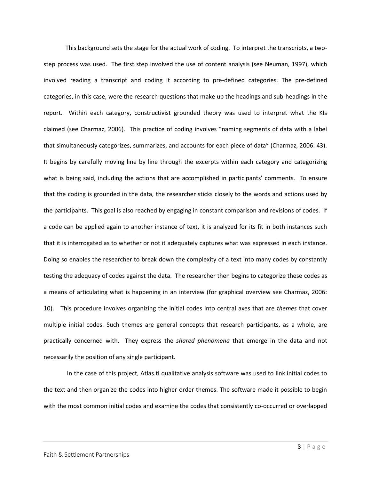This background sets the stage for the actual work of coding. To interpret the transcripts, a twostep process was used. The first step involved the use of content analysis (see Neuman, 1997), which involved reading a transcript and coding it according to pre-defined categories. The pre-defined categories, in this case, were the research questions that make up the headings and sub-headings in the report. Within each category, constructivist grounded theory was used to interpret what the KIs claimed (see Charmaz, 2006). This practice of coding involves "naming segments of data with a label that simultaneously categorizes, summarizes, and accounts for each piece of data" (Charmaz, 2006: 43). It begins by carefully moving line by line through the excerpts within each category and categorizing what is being said, including the actions that are accomplished in participants' comments. To ensure that the coding is grounded in the data, the researcher sticks closely to the words and actions used by the participants. This goal is also reached by engaging in constant comparison and revisions of codes. If a code can be applied again to another instance of text, it is analyzed for its fit in both instances such that it is interrogated as to whether or not it adequately captures what was expressed in each instance. Doing so enables the researcher to break down the complexity of a text into many codes by constantly testing the adequacy of codes against the data. The researcher then begins to categorize these codes as a means of articulating what is happening in an interview (for graphical overview see Charmaz, 2006: 10). This procedure involves organizing the initial codes into central axes that are *themes* that cover multiple initial codes. Such themes are general concepts that research participants, as a whole, are practically concerned with. They express the *shared phenomena* that emerge in the data and not necessarily the position of any single participant.

In the case of this project, Atlas.ti qualitative analysis software was used to link initial codes to the text and then organize the codes into higher order themes. The software made it possible to begin with the most common initial codes and examine the codes that consistently co-occurred or overlapped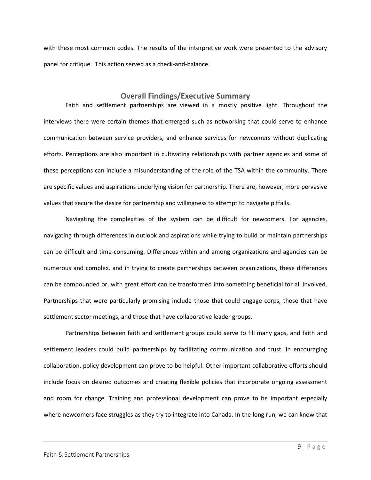with these most common codes. The results of the interpretive work were presented to the advisory panel for critique. This action served as a check-and-balance.

# **Overall Findings/Executive Summary**

<span id="page-9-0"></span>Faith and settlement partnerships are viewed in a mostly positive light. Throughout the interviews there were certain themes that emerged such as networking that could serve to enhance communication between service providers, and enhance services for newcomers without duplicating efforts. Perceptions are also important in cultivating relationships with partner agencies and some of these perceptions can include a misunderstanding of the role of the TSA within the community. There are specific values and aspirations underlying vision for partnership. There are, however, more pervasive values that secure the desire for partnership and willingness to attempt to navigate pitfalls.

Navigating the complexities of the system can be difficult for newcomers. For agencies, navigating through differences in outlook and aspirations while trying to build or maintain partnerships can be difficult and time-consuming. Differences within and among organizations and agencies can be numerous and complex, and in trying to create partnerships between organizations, these differences can be compounded or, with great effort can be transformed into something beneficial for all involved. Partnerships that were particularly promising include those that could engage corps, those that have settlement sector meetings, and those that have collaborative leader groups.

Partnerships between faith and settlement groups could serve to fill many gaps, and faith and settlement leaders could build partnerships by facilitating communication and trust. In encouraging collaboration, policy development can prove to be helpful. Other important collaborative efforts should include focus on desired outcomes and creating flexible policies that incorporate ongoing assessment and room for change. Training and professional development can prove to be important especially where newcomers face struggles as they try to integrate into Canada. In the long run, we can know that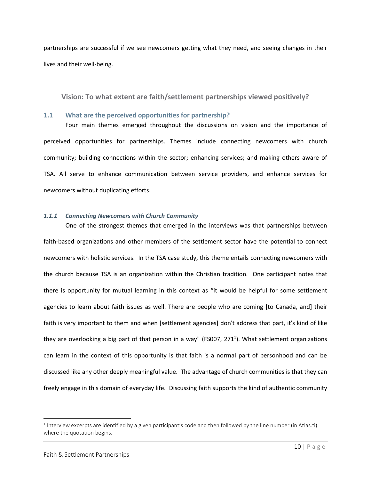partnerships are successful if we see newcomers getting what they need, and seeing changes in their lives and their well-being.

<span id="page-10-0"></span>**Vision: To what extent are faith/settlement partnerships viewed positively?**

# <span id="page-10-1"></span>**1.1 What are the perceived opportunities for partnership?**

Four main themes emerged throughout the discussions on vision and the importance of perceived opportunities for partnerships. Themes include connecting newcomers with church community; building connections within the sector; enhancing services; and making others aware of TSA. All serve to enhance communication between service providers, and enhance services for newcomers without duplicating efforts.

# *1.1.1 Connecting Newcomers with Church Community*

One of the strongest themes that emerged in the interviews was that partnerships between faith-based organizations and other members of the settlement sector have the potential to connect newcomers with holistic services. In the TSA case study, this theme entails connecting newcomers with the church because TSA is an organization within the Christian tradition. One participant notes that there is opportunity for mutual learning in this context as "it would be helpful for some settlement agencies to learn about faith issues as well. There are people who are coming [to Canada, and] their faith is very important to them and when [settlement agencies] don't address that part, it's kind of like they are overlooking a big part of that person in a way" (FS007, 271<sup>1</sup>). What settlement organizations can learn in the context of this opportunity is that faith is a normal part of personhood and can be discussed like any other deeply meaningful value. The advantage of church communities is that they can freely engage in this domain of everyday life. Discussing faith supports the kind of authentic community

 $\overline{\phantom{a}}$ 

 $1$  Interview excerpts are identified by a given participant's code and then followed by the line number (in Atlas.ti) where the quotation begins.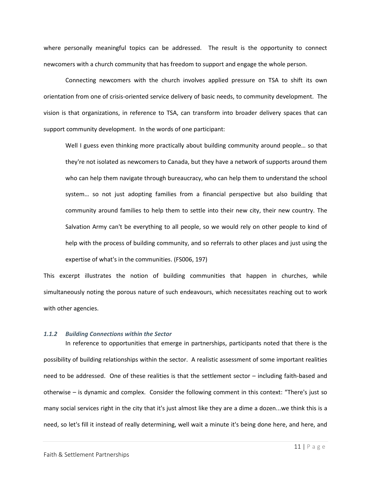where personally meaningful topics can be addressed. The result is the opportunity to connect newcomers with a church community that has freedom to support and engage the whole person.

Connecting newcomers with the church involves applied pressure on TSA to shift its own orientation from one of crisis-oriented service delivery of basic needs, to community development. The vision is that organizations, in reference to TSA, can transform into broader delivery spaces that can support community development. In the words of one participant:

Well I guess even thinking more practically about building community around people… so that they're not isolated as newcomers to Canada, but they have a network of supports around them who can help them navigate through bureaucracy, who can help them to understand the school system… so not just adopting families from a financial perspective but also building that community around families to help them to settle into their new city, their new country. The Salvation Army can't be everything to all people, so we would rely on other people to kind of help with the process of building community, and so referrals to other places and just using the expertise of what's in the communities. (FS006, 197)

This excerpt illustrates the notion of building communities that happen in churches, while simultaneously noting the porous nature of such endeavours, which necessitates reaching out to work with other agencies.

#### *1.1.2 Building Connections within the Sector*

In reference to opportunities that emerge in partnerships, participants noted that there is the possibility of building relationships within the sector. A realistic assessment of some important realities need to be addressed. One of these realities is that the settlement sector – including faith-based and otherwise – is dynamic and complex. Consider the following comment in this context: "There's just so many social services right in the city that it's just almost like they are a dime a dozen...we think this is a need, so let's fill it instead of really determining, well wait a minute it's being done here, and here, and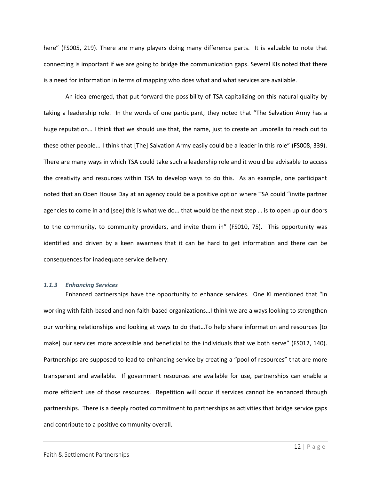here" (FS005, 219). There are many players doing many difference parts. It is valuable to note that connecting is important if we are going to bridge the communication gaps. Several KIs noted that there is a need for information in terms of mapping who does what and what services are available.

An idea emerged, that put forward the possibility of TSA capitalizing on this natural quality by taking a leadership role. In the words of one participant, they noted that "The Salvation Army has a huge reputation… I think that we should use that, the name, just to create an umbrella to reach out to these other people... I think that [The] Salvation Army easily could be a leader in this role" (FS008, 339). There are many ways in which TSA could take such a leadership role and it would be advisable to access the creativity and resources within TSA to develop ways to do this. As an example, one participant noted that an Open House Day at an agency could be a positive option where TSA could "invite partner agencies to come in and [see] this is what we do… that would be the next step … is to open up our doors to the community, to community providers, and invite them in" (FS010, 75). This opportunity was identified and driven by a keen awarness that it can be hard to get information and there can be consequences for inadequate service delivery.

#### *1.1.3 Enhancing Services*

Enhanced partnerships have the opportunity to enhance services. One KI mentioned that "in working with faith-based and non-faith-based organizations…I think we are always looking to strengthen our working relationships and looking at ways to do that…To help share information and resources [to make] our services more accessible and beneficial to the individuals that we both serve" (FS012, 140). Partnerships are supposed to lead to enhancing service by creating a "pool of resources" that are more transparent and available. If government resources are available for use, partnerships can enable a more efficient use of those resources. Repetition will occur if services cannot be enhanced through partnerships. There is a deeply rooted commitment to partnerships as activities that bridge service gaps and contribute to a positive community overall.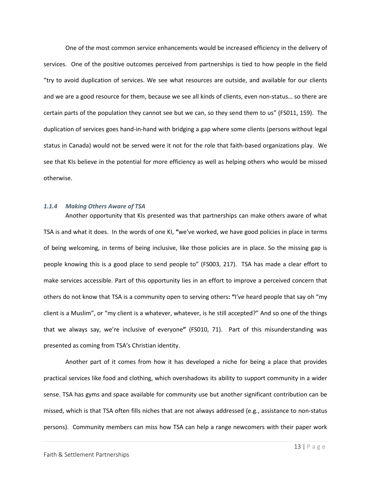One of the most common service enhancements would be increased efficiency in the delivery of services. One of the positive outcomes perceived from partnerships is tied to how people in the field "try to avoid duplication of services. We see what resources are outside, and available for our clients and we are a good resource for them, because we see all kinds of clients, even non-status… so there are certain parts of the population they cannot see but we can, so they send them to us" (FS011, 159). The duplication of services goes hand-in-hand with bridging a gap where some clients (persons without legal status in Canada) would not be served were it not for the role that faith-based organizations play. We see that KIs believe in the potential for more efficiency as well as helping others who would be missed otherwise.

#### *1.1.4 Making Others Aware of TSA*

Another opportunity that KIs presented was that partnerships can make others aware of what TSA is and what it does. In the words of one KI, **"**we've worked, we have good policies in place in terms of being welcoming, in terms of being inclusive, like those policies are in place. So the missing gap is people knowing this is a good place to send people to" (FS003, 217). TSA has made a clear effort to make services accessible. Part of this opportunity lies in an effort to improve a perceived concern that others do not know that TSA is a community open to serving others**: "**I've heard people that say oh "my client is a Muslim", or "my client is a whatever, whatever, is he still accepted?" And so one of the things that we always say, we're inclusive of everyone**"** (FS010, 71). Part of this misunderstanding was presented as coming from TSA's Christian identity.

Another part of it comes from how it has developed a niche for being a place that provides practical services like food and clothing, which overshadows its ability to support community in a wider sense. TSA has gyms and space available for community use but another significant contribution can be missed, which is that TSA often fills niches that are not always addressed (e.g., assistance to non-status persons). Community members can miss how TSA can help a range newcomers with their paper work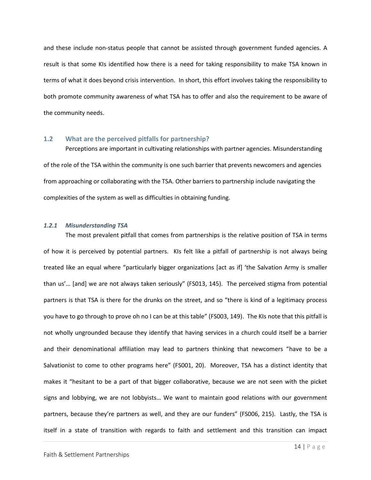and these include non-status people that cannot be assisted through government funded agencies. A result is that some KIs identified how there is a need for taking responsibility to make TSA known in terms of what it does beyond crisis intervention. In short, this effort involves taking the responsibility to both promote community awareness of what TSA has to offer and also the requirement to be aware of the community needs.

#### <span id="page-14-0"></span>**1.2 What are the perceived pitfalls for partnership?**

Perceptions are important in cultivating relationships with partner agencies. Misunderstanding of the role of the TSA within the community is one such barrier that prevents newcomers and agencies from approaching or collaborating with the TSA. Other barriers to partnership include navigating the complexities of the system as well as difficulties in obtaining funding.

#### *1.2.1 Misunderstanding TSA*

The most prevalent pitfall that comes from partnerships is the relative position of TSA in terms of how it is perceived by potential partners. KIs felt like a pitfall of partnership is not always being treated like an equal where "particularly bigger organizations [act as if] 'the Salvation Army is smaller than us'… [and] we are not always taken seriously" (FS013, 145). The perceived stigma from potential partners is that TSA is there for the drunks on the street, and so "there is kind of a legitimacy process you have to go through to prove oh no I can be at this table" (FS003, 149). The KIs note that this pitfall is not wholly ungrounded because they identify that having services in a church could itself be a barrier and their denominational affiliation may lead to partners thinking that newcomers "have to be a Salvationist to come to other programs here" (FS001, 20). Moreover, TSA has a distinct identity that makes it "hesitant to be a part of that bigger collaborative, because we are not seen with the picket signs and lobbying, we are not lobbyists… We want to maintain good relations with our government partners, because they're partners as well, and they are our funders" (FS006, 215). Lastly, the TSA is itself in a state of transition with regards to faith and settlement and this transition can impact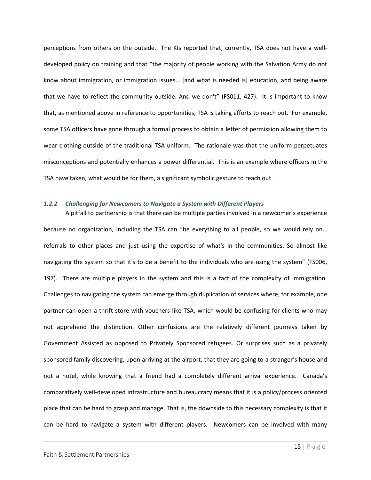perceptions from others on the outside. The KIs reported that, currently, TSA does not have a welldeveloped policy on training and that "the majority of people working with the Salvation Army do not know about immigration, or immigration issues… [and what is needed is] education, and being aware that we have to reflect the community outside. And we don't" (FS011, 427). It is important to know that, as mentioned above in reference to opportunities, TSA is taking efforts to reach out. For example, some TSA officers have gone through a formal process to obtain a letter of permission allowing them to wear clothing outside of the traditional TSA uniform. The rationale was that the uniform perpetuates misconceptions and potentially enhances a power differential. This is an example where officers in the TSA have taken, what would be for them, a significant symbolic gesture to reach out.

#### *1.2.2 Challenging for Newcomers to Navigate a System with Different Players*

A pitfall to partnership is that there can be multiple parties involved in a newcomer's experience because no organization, including the TSA can "be everything to all people, so we would rely on… referrals to other places and just using the expertise of what's in the communities. So almost like navigating the system so that it's to be a benefit to the individuals who are using the system" (FS006, 197). There are multiple players in the system and this is a fact of the complexity of immigration. Challenges to navigating the system can emerge through duplication of services where, for example, one partner can open a thrift store with vouchers like TSA, which would be confusing for clients who may not apprehend the distinction. Other confusions are the relatively different journeys taken by Government Assisted as opposed to Privately Sponsored refugees. Or surprises such as a privately sponsored family discovering, upon arriving at the airport, that they are going to a stranger's house and not a hotel, while knowing that a friend had a completely different arrival experience. Canada's comparatively well-developed infrastructure and bureaucracy means that it is a policy/process oriented place that can be hard to grasp and manage. That is, the downside to this necessary complexity is that it can be hard to navigate a system with different players. Newcomers can be involved with many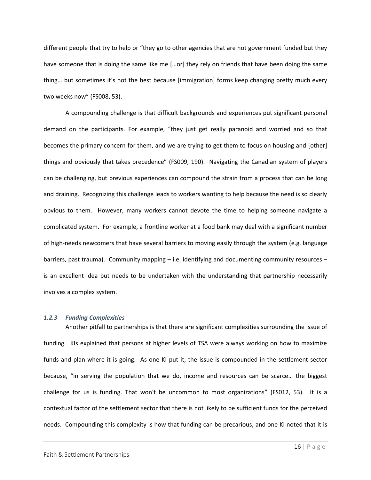different people that try to help or "they go to other agencies that are not government funded but they have someone that is doing the same like me [...or] they rely on friends that have been doing the same thing… but sometimes it's not the best because [immigration] forms keep changing pretty much every two weeks now" (FS008, 53).

A compounding challenge is that difficult backgrounds and experiences put significant personal demand on the participants. For example, "they just get really paranoid and worried and so that becomes the primary concern for them, and we are trying to get them to focus on housing and [other] things and obviously that takes precedence" (FS009, 190). Navigating the Canadian system of players can be challenging, but previous experiences can compound the strain from a process that can be long and draining. Recognizing this challenge leads to workers wanting to help because the need is so clearly obvious to them. However, many workers cannot devote the time to helping someone navigate a complicated system. For example, a frontline worker at a food bank may deal with a significant number of high-needs newcomers that have several barriers to moving easily through the system (e.g. language barriers, past trauma). Community mapping – i.e. identifying and documenting community resources – is an excellent idea but needs to be undertaken with the understanding that partnership necessarily involves a complex system.

#### *1.2.3 Funding Complexities*

Another pitfall to partnerships is that there are significant complexities surrounding the issue of funding. KIs explained that persons at higher levels of TSA were always working on how to maximize funds and plan where it is going. As one KI put it, the issue is compounded in the settlement sector because, "in serving the population that we do, income and resources can be scarce… the biggest challenge for us is funding. That won't be uncommon to most organizations" (FS012, 53). It is a contextual factor of the settlement sector that there is not likely to be sufficient funds for the perceived needs. Compounding this complexity is how that funding can be precarious, and one KI noted that it is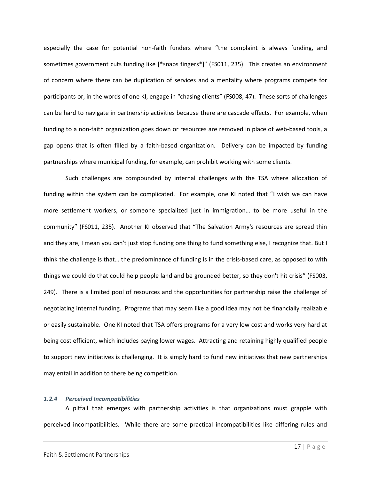especially the case for potential non-faith funders where "the complaint is always funding, and sometimes government cuts funding like [\*snaps fingers\*]" (FS011, 235). This creates an environment of concern where there can be duplication of services and a mentality where programs compete for participants or, in the words of one KI, engage in "chasing clients" (FS008, 47). These sorts of challenges can be hard to navigate in partnership activities because there are cascade effects. For example, when funding to a non-faith organization goes down or resources are removed in place of web-based tools, a gap opens that is often filled by a faith-based organization. Delivery can be impacted by funding partnerships where municipal funding, for example, can prohibit working with some clients.

Such challenges are compounded by internal challenges with the TSA where allocation of funding within the system can be complicated. For example, one KI noted that "I wish we can have more settlement workers, or someone specialized just in immigration… to be more useful in the community" (FS011, 235). Another KI observed that "The Salvation Army's resources are spread thin and they are, I mean you can't just stop funding one thing to fund something else, I recognize that. But I think the challenge is that… the predominance of funding is in the crisis-based care, as opposed to with things we could do that could help people land and be grounded better, so they don't hit crisis" (FS003, 249). There is a limited pool of resources and the opportunities for partnership raise the challenge of negotiating internal funding. Programs that may seem like a good idea may not be financially realizable or easily sustainable. One KI noted that TSA offers programs for a very low cost and works very hard at being cost efficient, which includes paying lower wages. Attracting and retaining highly qualified people to support new initiatives is challenging. It is simply hard to fund new initiatives that new partnerships may entail in addition to there being competition.

# *1.2.4 Perceived Incompatibilities*

A pitfall that emerges with partnership activities is that organizations must grapple with perceived incompatibilities. While there are some practical incompatibilities like differing rules and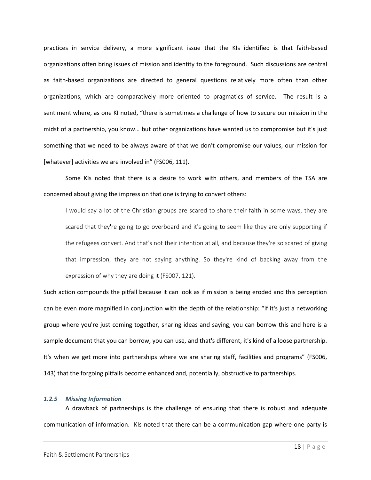practices in service delivery, a more significant issue that the KIs identified is that faith-based organizations often bring issues of mission and identity to the foreground. Such discussions are central as faith-based organizations are directed to general questions relatively more often than other organizations, which are comparatively more oriented to pragmatics of service. The result is a sentiment where, as one KI noted, "there is sometimes a challenge of how to secure our mission in the midst of a partnership, you know… but other organizations have wanted us to compromise but it's just something that we need to be always aware of that we don't compromise our values, our mission for [whatever] activities we are involved in" (FS006, 111).

Some KIs noted that there is a desire to work with others, and members of the TSA are concerned about giving the impression that one is trying to convert others:

I would say a lot of the Christian groups are scared to share their faith in some ways, they are scared that they're going to go overboard and it's going to seem like they are only supporting if the refugees convert. And that's not their intention at all, and because they're so scared of giving that impression, they are not saying anything. So they're kind of backing away from the expression of why they are doing it (FS007, 121).

Such action compounds the pitfall because it can look as if mission is being eroded and this perception can be even more magnified in conjunction with the depth of the relationship: "if it's just a networking group where you're just coming together, sharing ideas and saying, you can borrow this and here is a sample document that you can borrow, you can use, and that's different, it's kind of a loose partnership. It's when we get more into partnerships where we are sharing staff, facilities and programs" (FS006, 143) that the forgoing pitfalls become enhanced and, potentially, obstructive to partnerships.

#### *1.2.5 Missing Information*

A drawback of partnerships is the challenge of ensuring that there is robust and adequate communication of information. KIs noted that there can be a communication gap where one party is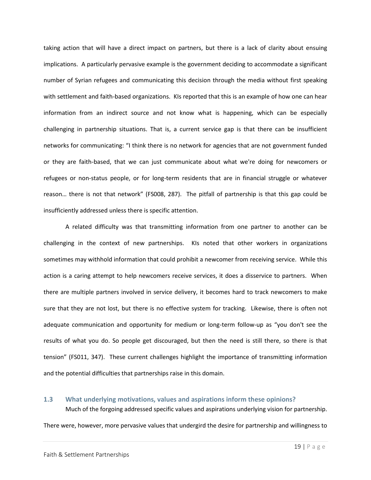taking action that will have a direct impact on partners, but there is a lack of clarity about ensuing implications. A particularly pervasive example is the government deciding to accommodate a significant number of Syrian refugees and communicating this decision through the media without first speaking with settlement and faith-based organizations. KIs reported that this is an example of how one can hear information from an indirect source and not know what is happening, which can be especially challenging in partnership situations. That is, a current service gap is that there can be insufficient networks for communicating: "I think there is no network for agencies that are not government funded or they are faith-based, that we can just communicate about what we're doing for newcomers or refugees or non-status people, or for long-term residents that are in financial struggle or whatever reason… there is not that network" (FS008, 287). The pitfall of partnership is that this gap could be insufficiently addressed unless there is specific attention.

A related difficulty was that transmitting information from one partner to another can be challenging in the context of new partnerships. KIs noted that other workers in organizations sometimes may withhold information that could prohibit a newcomer from receiving service. While this action is a caring attempt to help newcomers receive services, it does a disservice to partners. When there are multiple partners involved in service delivery, it becomes hard to track newcomers to make sure that they are not lost, but there is no effective system for tracking. Likewise, there is often not adequate communication and opportunity for medium or long-term follow-up as "you don't see the results of what you do. So people get discouraged, but then the need is still there, so there is that tension" (FS011, 347). These current challenges highlight the importance of transmitting information and the potential difficulties that partnerships raise in this domain.

# <span id="page-19-0"></span>**1.3 What underlying motivations, values and aspirations inform these opinions?**  Much of the forgoing addressed specific values and aspirations underlying vision for partnership.

There were, however, more pervasive values that undergird the desire for partnership and willingness to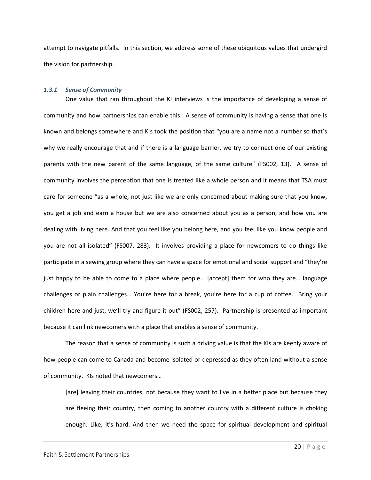attempt to navigate pitfalls. In this section, we address some of these ubiquitous values that undergird the vision for partnership.

# *1.3.1 Sense of Community*

One value that ran throughout the KI interviews is the importance of developing a sense of community and how partnerships can enable this. A sense of community is having a sense that one is known and belongs somewhere and KIs took the position that "you are a name not a number so that's why we really encourage that and if there is a language barrier, we try to connect one of our existing parents with the new parent of the same language, of the same culture" (FS002, 13). A sense of community involves the perception that one is treated like a whole person and it means that TSA must care for someone "as a whole, not just like we are only concerned about making sure that you know, you get a job and earn a house but we are also concerned about you as a person, and how you are dealing with living here. And that you feel like you belong here, and you feel like you know people and you are not all isolated" (FS007, 283). It involves providing a place for newcomers to do things like participate in a sewing group where they can have a space for emotional and social support and "they're just happy to be able to come to a place where people… [accept] them for who they are… language challenges or plain challenges… You're here for a break, you're here for a cup of coffee. Bring your children here and just, we'll try and figure it out" (FS002, 257). Partnership is presented as important because it can link newcomers with a place that enables a sense of community.

The reason that a sense of community is such a driving value is that the KIs are keenly aware of how people can come to Canada and become isolated or depressed as they often land without a sense of community. KIs noted that newcomers…

[are] leaving their countries, not because they want to live in a better place but because they are fleeing their country, then coming to another country with a different culture is choking enough. Like, it's hard. And then we need the space for spiritual development and spiritual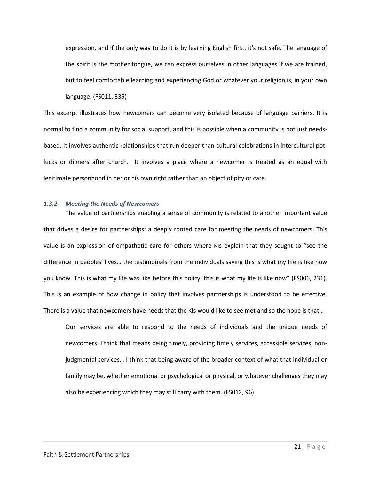expression, and if the only way to do it is by learning English first, it's not safe. The language of the spirit is the mother tongue, we can express ourselves in other languages if we are trained, but to feel comfortable learning and experiencing God or whatever your religion is, in your own language. (FS011, 339)

This excerpt illustrates how newcomers can become very isolated because of language barriers. It is normal to find a community for social support, and this is possible when a community is not just needsbased. It involves authentic relationships that run deeper than cultural celebrations in intercultural potlucks or dinners after church. It involves a place where a newcomer is treated as an equal with legitimate personhood in her or his own right rather than an object of pity or care.

#### *1.3.2 Meeting the Needs of Newcomers*

The value of partnerships enabling a sense of community is related to another important value that drives a desire for partnerships: a deeply rooted care for meeting the needs of newcomers. This value is an expression of empathetic care for others where KIs explain that they sought to "see the difference in peoples' lives… the testimonials from the individuals saying this is what my life is like now you know. This is what my life was like before this policy, this is what my life is like now" (FS006, 231). This is an example of how change in policy that involves partnerships is understood to be effective. There is a value that newcomers have needs that the KIs would like to see met and so the hope is that…

Our services are able to respond to the needs of individuals and the unique needs of newcomers. I think that means being timely, providing timely services, accessible services, nonjudgmental services… I think that being aware of the broader context of what that individual or family may be, whether emotional or psychological or physical, or whatever challenges they may also be experiencing which they may still carry with them. (FS012, 96)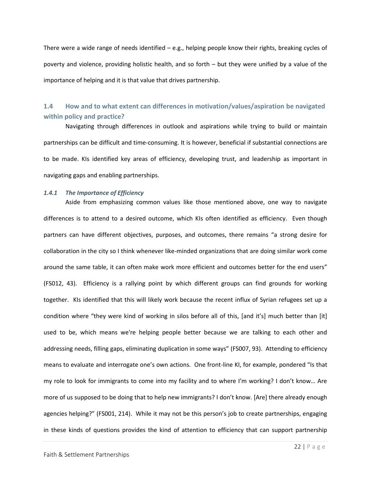There were a wide range of needs identified – e.g., helping people know their rights, breaking cycles of poverty and violence, providing holistic health, and so forth – but they were unified by a value of the importance of helping and it is that value that drives partnership.

# <span id="page-22-0"></span>**1.4 How and to what extent can differences in motivation/values/aspiration be navigated within policy and practice?**

Navigating through differences in outlook and aspirations while trying to build or maintain partnerships can be difficult and time-consuming. It is however, beneficial if substantial connections are to be made. KIs identified key areas of efficiency, developing trust, and leadership as important in navigating gaps and enabling partnerships.

# *1.4.1 The Importance of Efficiency*

Aside from emphasizing common values like those mentioned above, one way to navigate differences is to attend to a desired outcome, which KIs often identified as efficiency. Even though partners can have different objectives, purposes, and outcomes, there remains "a strong desire for collaboration in the city so I think whenever like-minded organizations that are doing similar work come around the same table, it can often make work more efficient and outcomes better for the end users" (FS012, 43). Efficiency is a rallying point by which different groups can find grounds for working together. KIs identified that this will likely work because the recent influx of Syrian refugees set up a condition where "they were kind of working in silos before all of this, [and it's] much better than [it] used to be, which means we're helping people better because we are talking to each other and addressing needs, filling gaps, eliminating duplication in some ways" (FS007, 93). Attending to efficiency means to evaluate and interrogate one's own actions. One front-line KI, for example, pondered "Is that my role to look for immigrants to come into my facility and to where I'm working? I don't know… Are more of us supposed to be doing that to help new immigrants? I don't know. [Are] there already enough agencies helping?" (FS001, 214). While it may not be this person's job to create partnerships, engaging in these kinds of questions provides the kind of attention to efficiency that can support partnership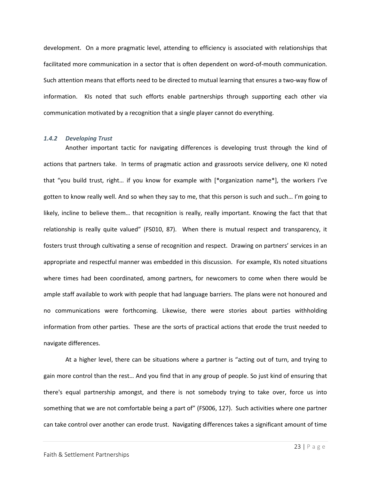development. On a more pragmatic level, attending to efficiency is associated with relationships that facilitated more communication in a sector that is often dependent on word-of-mouth communication. Such attention means that efforts need to be directed to mutual learning that ensures a two-way flow of information. KIs noted that such efforts enable partnerships through supporting each other via communication motivated by a recognition that a single player cannot do everything.

#### *1.4.2 Developing Trust*

Another important tactic for navigating differences is developing trust through the kind of actions that partners take. In terms of pragmatic action and grassroots service delivery, one KI noted that "you build trust, right… if you know for example with [\*organization name\*], the workers I've gotten to know really well. And so when they say to me, that this person is such and such… I'm going to likely, incline to believe them… that recognition is really, really important. Knowing the fact that that relationship is really quite valued" (FS010, 87). When there is mutual respect and transparency, it fosters trust through cultivating a sense of recognition and respect. Drawing on partners' services in an appropriate and respectful manner was embedded in this discussion. For example, KIs noted situations where times had been coordinated, among partners, for newcomers to come when there would be ample staff available to work with people that had language barriers. The plans were not honoured and no communications were forthcoming. Likewise, there were stories about parties withholding information from other parties. These are the sorts of practical actions that erode the trust needed to navigate differences.

At a higher level, there can be situations where a partner is "acting out of turn, and trying to gain more control than the rest… And you find that in any group of people. So just kind of ensuring that there's equal partnership amongst, and there is not somebody trying to take over, force us into something that we are not comfortable being a part of" (FS006, 127). Such activities where one partner can take control over another can erode trust. Navigating differences takes a significant amount of time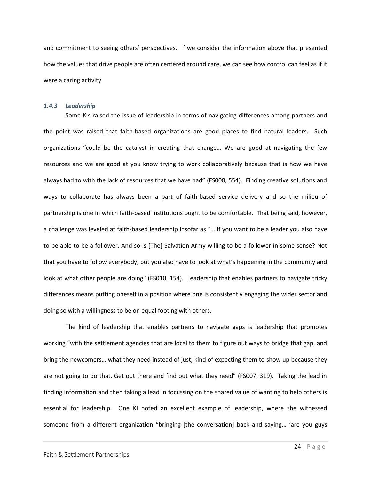and commitment to seeing others' perspectives. If we consider the information above that presented how the values that drive people are often centered around care, we can see how control can feel as if it were a caring activity.

#### *1.4.3 Leadership*

Some KIs raised the issue of leadership in terms of navigating differences among partners and the point was raised that faith-based organizations are good places to find natural leaders. Such organizations "could be the catalyst in creating that change… We are good at navigating the few resources and we are good at you know trying to work collaboratively because that is how we have always had to with the lack of resources that we have had" (FS008, 554). Finding creative solutions and ways to collaborate has always been a part of faith-based service delivery and so the milieu of partnership is one in which faith-based institutions ought to be comfortable. That being said, however, a challenge was leveled at faith-based leadership insofar as "… if you want to be a leader you also have to be able to be a follower. And so is [The] Salvation Army willing to be a follower in some sense? Not that you have to follow everybody, but you also have to look at what's happening in the community and look at what other people are doing" (FS010, 154). Leadership that enables partners to navigate tricky differences means putting oneself in a position where one is consistently engaging the wider sector and doing so with a willingness to be on equal footing with others.

The kind of leadership that enables partners to navigate gaps is leadership that promotes working "with the settlement agencies that are local to them to figure out ways to bridge that gap, and bring the newcomers… what they need instead of just, kind of expecting them to show up because they are not going to do that. Get out there and find out what they need" (FS007, 319). Taking the lead in finding information and then taking a lead in focussing on the shared value of wanting to help others is essential for leadership. One KI noted an excellent example of leadership, where she witnessed someone from a different organization "bringing [the conversation] back and saying… 'are you guys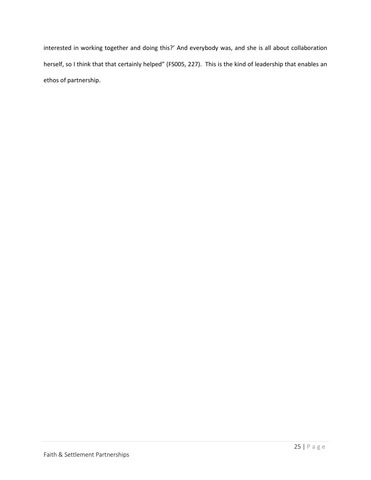interested in working together and doing this?' And everybody was, and she is all about collaboration herself, so I think that that certainly helped" (FS005, 227). This is the kind of leadership that enables an ethos of partnership.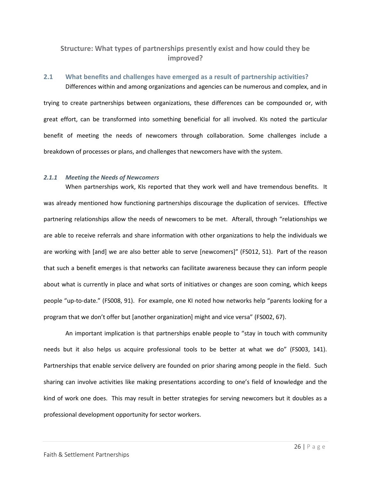# <span id="page-26-0"></span>**Structure: What types of partnerships presently exist and how could they be improved?**

# <span id="page-26-1"></span>**2.1 What benefits and challenges have emerged as a result of partnership activities?**  Differences within and among organizations and agencies can be numerous and complex, and in

trying to create partnerships between organizations, these differences can be compounded or, with great effort, can be transformed into something beneficial for all involved. KIs noted the particular benefit of meeting the needs of newcomers through collaboration. Some challenges include a breakdown of processes or plans, and challenges that newcomers have with the system.

# *2.1.1 Meeting the Needs of Newcomers*

When partnerships work, KIs reported that they work well and have tremendous benefits. It was already mentioned how functioning partnerships discourage the duplication of services. Effective partnering relationships allow the needs of newcomers to be met. Afterall, through "relationships we are able to receive referrals and share information with other organizations to help the individuals we are working with [and] we are also better able to serve [newcomers]" (FS012, 51). Part of the reason that such a benefit emerges is that networks can facilitate awareness because they can inform people about what is currently in place and what sorts of initiatives or changes are soon coming, which keeps people "up-to-date." (FS008, 91). For example, one KI noted how networks help "parents looking for a program that we don't offer but [another organization] might and vice versa" (FS002, 67).

An important implication is that partnerships enable people to "stay in touch with community needs but it also helps us acquire professional tools to be better at what we do" (FS003, 141). Partnerships that enable service delivery are founded on prior sharing among people in the field. Such sharing can involve activities like making presentations according to one's field of knowledge and the kind of work one does. This may result in better strategies for serving newcomers but it doubles as a professional development opportunity for sector workers.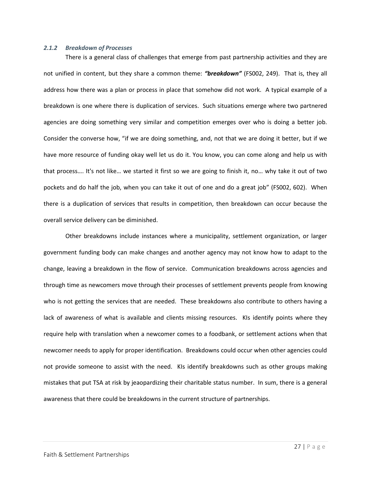#### *2.1.2 Breakdown of Processes*

There is a general class of challenges that emerge from past partnership activities and they are not unified in content, but they share a common theme: *"breakdown"* (FS002, 249). That is, they all address how there was a plan or process in place that somehow did not work. A typical example of a breakdown is one where there is duplication of services. Such situations emerge where two partnered agencies are doing something very similar and competition emerges over who is doing a better job. Consider the converse how, "if we are doing something, and, not that we are doing it better, but if we have more resource of funding okay well let us do it. You know, you can come along and help us with that process…. It's not like… we started it first so we are going to finish it, no… why take it out of two pockets and do half the job, when you can take it out of one and do a great job" (FS002, 602). When there is a duplication of services that results in competition, then breakdown can occur because the overall service delivery can be diminished.

Other breakdowns include instances where a municipality, settlement organization, or larger government funding body can make changes and another agency may not know how to adapt to the change, leaving a breakdown in the flow of service. Communication breakdowns across agencies and through time as newcomers move through their processes of settlement prevents people from knowing who is not getting the services that are needed. These breakdowns also contribute to others having a lack of awareness of what is available and clients missing resources. KIs identify points where they require help with translation when a newcomer comes to a foodbank, or settlement actions when that newcomer needs to apply for proper identification. Breakdowns could occur when other agencies could not provide someone to assist with the need. KIs identify breakdowns such as other groups making mistakes that put TSA at risk by jeaopardizing their charitable status number. In sum, there is a general awareness that there could be breakdowns in the current structure of partnerships.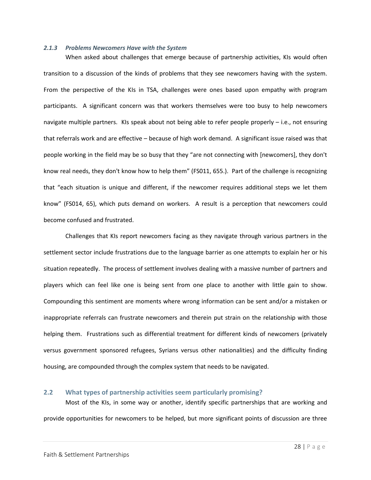#### *2.1.3 Problems Newcomers Have with the System*

When asked about challenges that emerge because of partnership activities, KIs would often transition to a discussion of the kinds of problems that they see newcomers having with the system. From the perspective of the KIs in TSA, challenges were ones based upon empathy with program participants. A significant concern was that workers themselves were too busy to help newcomers navigate multiple partners. KIs speak about not being able to refer people properly – i.e., not ensuring that referrals work and are effective – because of high work demand. A significant issue raised was that people working in the field may be so busy that they "are not connecting with [newcomers], they don't know real needs, they don't know how to help them" (FS011, 655.). Part of the challenge is recognizing that "each situation is unique and different, if the newcomer requires additional steps we let them know" (FS014, 65), which puts demand on workers. A result is a perception that newcomers could become confused and frustrated.

Challenges that KIs report newcomers facing as they navigate through various partners in the settlement sector include frustrations due to the language barrier as one attempts to explain her or his situation repeatedly. The process of settlement involves dealing with a massive number of partners and players which can feel like one is being sent from one place to another with little gain to show. Compounding this sentiment are moments where wrong information can be sent and/or a mistaken or inappropriate referrals can frustrate newcomers and therein put strain on the relationship with those helping them. Frustrations such as differential treatment for different kinds of newcomers (privately versus government sponsored refugees, Syrians versus other nationalities) and the difficulty finding housing, are compounded through the complex system that needs to be navigated.

#### <span id="page-28-0"></span>**2.2 What types of partnership activities seem particularly promising?**

Most of the KIs, in some way or another, identify specific partnerships that are working and provide opportunities for newcomers to be helped, but more significant points of discussion are three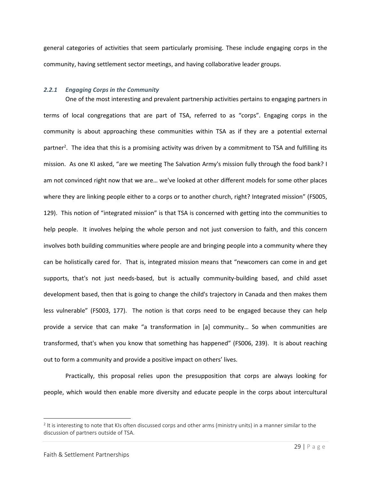general categories of activities that seem particularly promising. These include engaging corps in the community, having settlement sector meetings, and having collaborative leader groups.

#### *2.2.1 Engaging Corps in the Community*

One of the most interesting and prevalent partnership activities pertains to engaging partners in terms of local congregations that are part of TSA, referred to as "corps". Engaging corps in the community is about approaching these communities within TSA as if they are a potential external partner<sup>2</sup>. The idea that this is a promising activity was driven by a commitment to TSA and fulfilling its mission. As one KI asked, "are we meeting The Salvation Army's mission fully through the food bank? I am not convinced right now that we are… we've looked at other different models for some other places where they are linking people either to a corps or to another church, right? Integrated mission" (FS005, 129). This notion of "integrated mission" is that TSA is concerned with getting into the communities to help people. It involves helping the whole person and not just conversion to faith, and this concern involves both building communities where people are and bringing people into a community where they can be holistically cared for. That is, integrated mission means that "newcomers can come in and get supports, that's not just needs-based, but is actually community-building based, and child asset development based, then that is going to change the child's trajectory in Canada and then makes them less vulnerable" (FS003, 177). The notion is that corps need to be engaged because they can help provide a service that can make "a transformation in [a] community… So when communities are transformed, that's when you know that something has happened" (FS006, 239). It is about reaching out to form a community and provide a positive impact on others' lives.

Practically, this proposal relies upon the presupposition that corps are always looking for people, which would then enable more diversity and educate people in the corps about intercultural

 $\overline{\phantom{a}}$ 

 $^2$  It is interesting to note that KIs often discussed corps and other arms (ministry units) in a manner similar to the discussion of partners outside of TSA.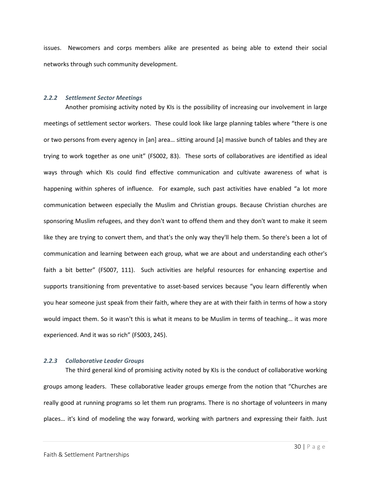issues. Newcomers and corps members alike are presented as being able to extend their social networks through such community development.

# *2.2.2 Settlement Sector Meetings*

Another promising activity noted by KIs is the possibility of increasing our involvement in large meetings of settlement sector workers. These could look like large planning tables where "there is one or two persons from every agency in [an] area… sitting around [a] massive bunch of tables and they are trying to work together as one unit" (FS002, 83). These sorts of collaboratives are identified as ideal ways through which KIs could find effective communication and cultivate awareness of what is happening within spheres of influence. For example, such past activities have enabled "a lot more communication between especially the Muslim and Christian groups. Because Christian churches are sponsoring Muslim refugees, and they don't want to offend them and they don't want to make it seem like they are trying to convert them, and that's the only way they'll help them. So there's been a lot of communication and learning between each group, what we are about and understanding each other's faith a bit better" (FS007, 111). Such activities are helpful resources for enhancing expertise and supports transitioning from preventative to asset-based services because "you learn differently when you hear someone just speak from their faith, where they are at with their faith in terms of how a story would impact them. So it wasn't this is what it means to be Muslim in terms of teaching… it was more experienced. And it was so rich" (FS003, 245).

# *2.2.3 Collaborative Leader Groups*

The third general kind of promising activity noted by KIs is the conduct of collaborative working groups among leaders. These collaborative leader groups emerge from the notion that "Churches are really good at running programs so let them run programs. There is no shortage of volunteers in many places… it's kind of modeling the way forward, working with partners and expressing their faith. Just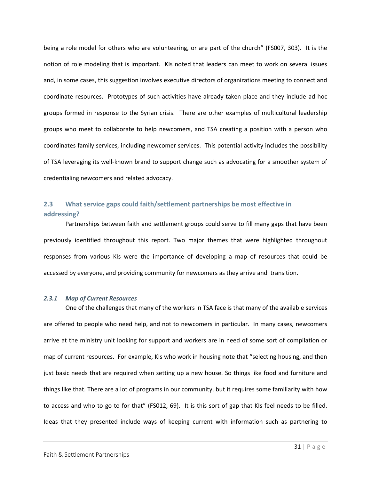being a role model for others who are volunteering, or are part of the church" (FS007, 303). It is the notion of role modeling that is important. KIs noted that leaders can meet to work on several issues and, in some cases, this suggestion involves executive directors of organizations meeting to connect and coordinate resources. Prototypes of such activities have already taken place and they include ad hoc groups formed in response to the Syrian crisis. There are other examples of multicultural leadership groups who meet to collaborate to help newcomers, and TSA creating a position with a person who coordinates family services, including newcomer services. This potential activity includes the possibility of TSA leveraging its well-known brand to support change such as advocating for a smoother system of credentialing newcomers and related advocacy.

# <span id="page-31-0"></span>**2.3 What service gaps could faith/settlement partnerships be most effective in addressing?**

Partnerships between faith and settlement groups could serve to fill many gaps that have been previously identified throughout this report. Two major themes that were highlighted throughout responses from various KIs were the importance of developing a map of resources that could be accessed by everyone, and providing community for newcomers as they arrive and transition.

# *2.3.1 Map of Current Resources*

One of the challenges that many of the workers in TSA face is that many of the available services are offered to people who need help, and not to newcomers in particular. In many cases, newcomers arrive at the ministry unit looking for support and workers are in need of some sort of compilation or map of current resources. For example, KIs who work in housing note that "selecting housing, and then just basic needs that are required when setting up a new house. So things like food and furniture and things like that. There are a lot of programs in our community, but it requires some familiarity with how to access and who to go to for that" (FS012, 69). It is this sort of gap that KIs feel needs to be filled. Ideas that they presented include ways of keeping current with information such as partnering to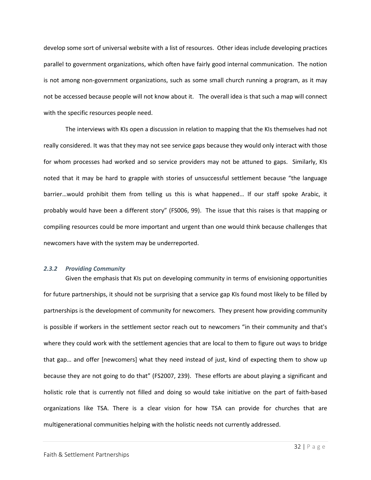develop some sort of universal website with a list of resources. Other ideas include developing practices parallel to government organizations, which often have fairly good internal communication. The notion is not among non-government organizations, such as some small church running a program, as it may not be accessed because people will not know about it. The overall idea is that such a map will connect with the specific resources people need.

The interviews with KIs open a discussion in relation to mapping that the KIs themselves had not really considered. It was that they may not see service gaps because they would only interact with those for whom processes had worked and so service providers may not be attuned to gaps. Similarly, KIs noted that it may be hard to grapple with stories of unsuccessful settlement because "the language barrier…would prohibit them from telling us this is what happened… If our staff spoke Arabic, it probably would have been a different story" (FS006, 99). The issue that this raises is that mapping or compiling resources could be more important and urgent than one would think because challenges that newcomers have with the system may be underreported.

# *2.3.2 Providing Community*

Given the emphasis that KIs put on developing community in terms of envisioning opportunities for future partnerships, it should not be surprising that a service gap KIs found most likely to be filled by partnerships is the development of community for newcomers. They present how providing community is possible if workers in the settlement sector reach out to newcomers "in their community and that's where they could work with the settlement agencies that are local to them to figure out ways to bridge that gap… and offer [newcomers] what they need instead of just, kind of expecting them to show up because they are not going to do that" (FS2007, 239). These efforts are about playing a significant and holistic role that is currently not filled and doing so would take initiative on the part of faith-based organizations like TSA. There is a clear vision for how TSA can provide for churches that are multigenerational communities helping with the holistic needs not currently addressed.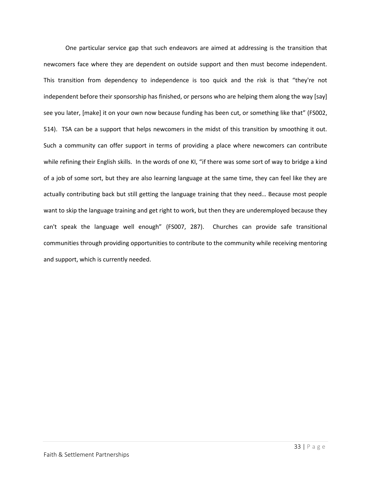One particular service gap that such endeavors are aimed at addressing is the transition that newcomers face where they are dependent on outside support and then must become independent. This transition from dependency to independence is too quick and the risk is that "they're not independent before their sponsorship has finished, or persons who are helping them along the way [say] see you later, [make] it on your own now because funding has been cut, or something like that" (FS002, 514). TSA can be a support that helps newcomers in the midst of this transition by smoothing it out. Such a community can offer support in terms of providing a place where newcomers can contribute while refining their English skills. In the words of one KI, "if there was some sort of way to bridge a kind of a job of some sort, but they are also learning language at the same time, they can feel like they are actually contributing back but still getting the language training that they need… Because most people want to skip the language training and get right to work, but then they are underemployed because they can't speak the language well enough" (FS007, 287). Churches can provide safe transitional communities through providing opportunities to contribute to the community while receiving mentoring and support, which is currently needed.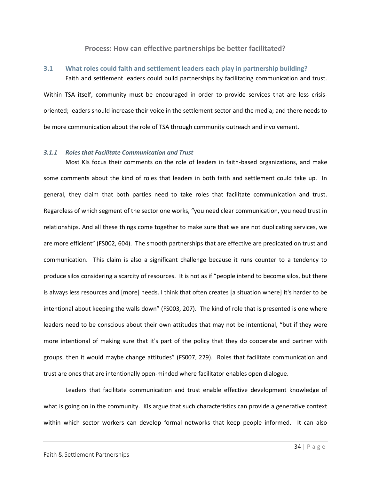# **Process: How can effective partnerships be better facilitated?**

# <span id="page-34-1"></span><span id="page-34-0"></span>**3.1 What roles could faith and settlement leaders each play in partnership building?**  Faith and settlement leaders could build partnerships by facilitating communication and trust.

Within TSA itself, community must be encouraged in order to provide services that are less crisisoriented; leaders should increase their voice in the settlement sector and the media; and there needs to be more communication about the role of TSA through community outreach and involvement.

#### *3.1.1 Roles that Facilitate Communication and Trust*

Most KIs focus their comments on the role of leaders in faith-based organizations, and make some comments about the kind of roles that leaders in both faith and settlement could take up. In general, they claim that both parties need to take roles that facilitate communication and trust. Regardless of which segment of the sector one works, "you need clear communication, you need trust in relationships. And all these things come together to make sure that we are not duplicating services, we are more efficient" (FS002, 604). The smooth partnerships that are effective are predicated on trust and communication. This claim is also a significant challenge because it runs counter to a tendency to produce silos considering a scarcity of resources. It is not as if "people intend to become silos, but there is always less resources and [more] needs. I think that often creates [a situation where] it's harder to be intentional about keeping the walls down" (FS003, 207). The kind of role that is presented is one where leaders need to be conscious about their own attitudes that may not be intentional, "but if they were more intentional of making sure that it's part of the policy that they do cooperate and partner with groups, then it would maybe change attitudes" (FS007, 229). Roles that facilitate communication and trust are ones that are intentionally open-minded where facilitator enables open dialogue.

Leaders that facilitate communication and trust enable effective development knowledge of what is going on in the community. KIs argue that such characteristics can provide a generative context within which sector workers can develop formal networks that keep people informed. It can also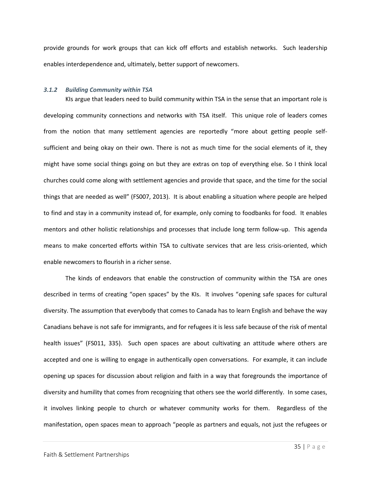provide grounds for work groups that can kick off efforts and establish networks. Such leadership enables interdependence and, ultimately, better support of newcomers.

#### *3.1.2 Building Community within TSA*

KIs argue that leaders need to build community within TSA in the sense that an important role is developing community connections and networks with TSA itself. This unique role of leaders comes from the notion that many settlement agencies are reportedly "more about getting people selfsufficient and being okay on their own. There is not as much time for the social elements of it, they might have some social things going on but they are extras on top of everything else. So I think local churches could come along with settlement agencies and provide that space, and the time for the social things that are needed as well" (FS007, 2013). It is about enabling a situation where people are helped to find and stay in a community instead of, for example, only coming to foodbanks for food. It enables mentors and other holistic relationships and processes that include long term follow-up. This agenda means to make concerted efforts within TSA to cultivate services that are less crisis-oriented, which enable newcomers to flourish in a richer sense.

The kinds of endeavors that enable the construction of community within the TSA are ones described in terms of creating "open spaces" by the KIs. It involves "opening safe spaces for cultural diversity. The assumption that everybody that comes to Canada has to learn English and behave the way Canadians behave is not safe for immigrants, and for refugees it is less safe because of the risk of mental health issues" (FS011, 335). Such open spaces are about cultivating an attitude where others are accepted and one is willing to engage in authentically open conversations. For example, it can include opening up spaces for discussion about religion and faith in a way that foregrounds the importance of diversity and humility that comes from recognizing that others see the world differently. In some cases, it involves linking people to church or whatever community works for them. Regardless of the manifestation, open spaces mean to approach "people as partners and equals, not just the refugees or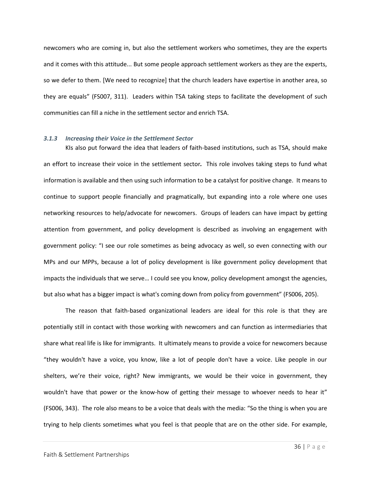newcomers who are coming in, but also the settlement workers who sometimes, they are the experts and it comes with this attitude... But some people approach settlement workers as they are the experts, so we defer to them. [We need to recognize] that the church leaders have expertise in another area, so they are equals" (FS007, 311). Leaders within TSA taking steps to facilitate the development of such communities can fill a niche in the settlement sector and enrich TSA.

#### *3.1.3 Increasing their Voice in the Settlement Sector*

KIs also put forward the idea that leaders of faith-based institutions, such as TSA, should make an effort to increase their voice in the settlement sector*.* This role involves taking steps to fund what information is available and then using such information to be a catalyst for positive change. It means to continue to support people financially and pragmatically, but expanding into a role where one uses networking resources to help/advocate for newcomers. Groups of leaders can have impact by getting attention from government, and policy development is described as involving an engagement with government policy: "I see our role sometimes as being advocacy as well, so even connecting with our MPs and our MPPs, because a lot of policy development is like government policy development that impacts the individuals that we serve… I could see you know, policy development amongst the agencies, but also what has a bigger impact is what's coming down from policy from government" (FS006, 205).

The reason that faith-based organizational leaders are ideal for this role is that they are potentially still in contact with those working with newcomers and can function as intermediaries that share what real life is like for immigrants. It ultimately means to provide a voice for newcomers because "they wouldn't have a voice, you know, like a lot of people don't have a voice. Like people in our shelters, we're their voice, right? New immigrants, we would be their voice in government, they wouldn't have that power or the know-how of getting their message to whoever needs to hear it" (FS006, 343). The role also means to be a voice that deals with the media: "So the thing is when you are trying to help clients sometimes what you feel is that people that are on the other side. For example,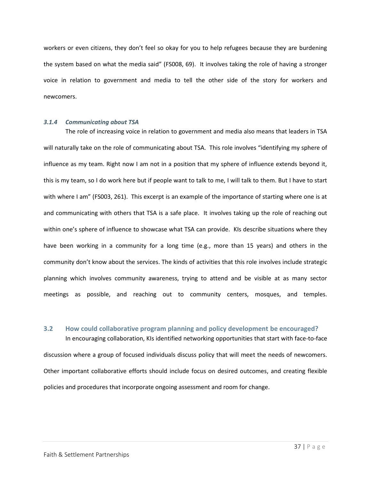workers or even citizens, they don't feel so okay for you to help refugees because they are burdening the system based on what the media said" (FS008, 69). It involves taking the role of having a stronger voice in relation to government and media to tell the other side of the story for workers and newcomers.

#### *3.1.4 Communicating about TSA*

The role of increasing voice in relation to government and media also means that leaders in TSA will naturally take on the role of communicating about TSA. This role involves "identifying my sphere of influence as my team. Right now I am not in a position that my sphere of influence extends beyond it, this is my team, so I do work here but if people want to talk to me, I will talk to them. But I have to start with where I am" (FS003, 261). This excerpt is an example of the importance of starting where one is at and communicating with others that TSA is a safe place. It involves taking up the role of reaching out within one's sphere of influence to showcase what TSA can provide. KIs describe situations where they have been working in a community for a long time (e.g., more than 15 years) and others in the community don't know about the services. The kinds of activities that this role involves include strategic planning which involves community awareness, trying to attend and be visible at as many sector meetings as possible, and reaching out to community centers, mosques, and temples.

# <span id="page-37-0"></span>**3.2 How could collaborative program planning and policy development be encouraged?**  In encouraging collaboration, KIs identified networking opportunities that start with face-to-face

discussion where a group of focused individuals discuss policy that will meet the needs of newcomers. Other important collaborative efforts should include focus on desired outcomes, and creating flexible policies and procedures that incorporate ongoing assessment and room for change.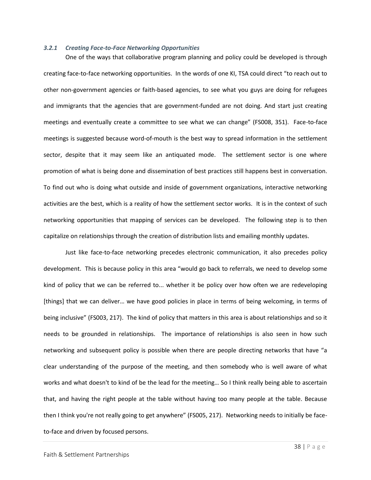#### *3.2.1 Creating Face-to-Face Networking Opportunities*

One of the ways that collaborative program planning and policy could be developed is through creating face-to-face networking opportunities.In the words of one KI, TSA could direct "to reach out to other non-government agencies or faith-based agencies, to see what you guys are doing for refugees and immigrants that the agencies that are government-funded are not doing. And start just creating meetings and eventually create a committee to see what we can change" (FS008, 351). Face-to-face meetings is suggested because word-of-mouth is the best way to spread information in the settlement sector, despite that it may seem like an antiquated mode. The settlement sector is one where promotion of what is being done and dissemination of best practices still happens best in conversation. To find out who is doing what outside and inside of government organizations, interactive networking activities are the best, which is a reality of how the settlement sector works. It is in the context of such networking opportunities that mapping of services can be developed. The following step is to then capitalize on relationships through the creation of distribution lists and emailing monthly updates.

Just like face-to-face networking precedes electronic communication, it also precedes policy development. This is because policy in this area "would go back to referrals, we need to develop some kind of policy that we can be referred to... whether it be policy over how often we are redeveloping [things] that we can deliver… we have good policies in place in terms of being welcoming, in terms of being inclusive" (FS003, 217). The kind of policy that matters in this area is about relationships and so it needs to be grounded in relationships. The importance of relationships is also seen in how such networking and subsequent policy is possible when there are people directing networks that have "a clear understanding of the purpose of the meeting, and then somebody who is well aware of what works and what doesn't to kind of be the lead for the meeting… So I think really being able to ascertain that, and having the right people at the table without having too many people at the table. Because then I think you're not really going to get anywhere" (FS005, 217). Networking needs to initially be faceto-face and driven by focused persons.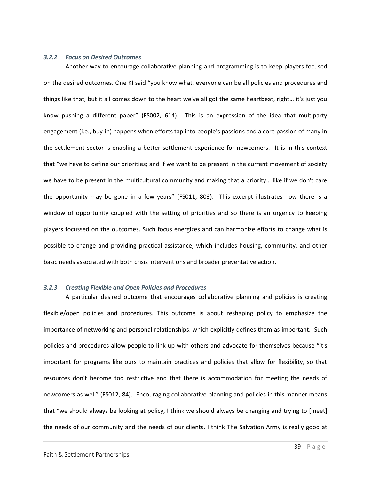### *3.2.2 Focus on Desired Outcomes*

Another way to encourage collaborative planning and programming is to keep players focused on the desired outcomes. One KI said "you know what, everyone can be all policies and procedures and things like that, but it all comes down to the heart we've all got the same heartbeat, right… it's just you know pushing a different paper" (FS002, 614). This is an expression of the idea that multiparty engagement (i.e., buy-in) happens when efforts tap into people's passions and a core passion of many in the settlement sector is enabling a better settlement experience for newcomers. It is in this context that "we have to define our priorities; and if we want to be present in the current movement of society we have to be present in the multicultural community and making that a priority… like if we don't care the opportunity may be gone in a few years" (FS011, 803). This excerpt illustrates how there is a window of opportunity coupled with the setting of priorities and so there is an urgency to keeping players focussed on the outcomes. Such focus energizes and can harmonize efforts to change what is possible to change and providing practical assistance, which includes housing, community, and other basic needs associated with both crisis interventions and broader preventative action.

#### *3.2.3 Creating Flexible and Open Policies and Procedures*

A particular desired outcome that encourages collaborative planning and policies is creating flexible/open policies and procedures. This outcome is about reshaping policy to emphasize the importance of networking and personal relationships, which explicitly defines them as important. Such policies and procedures allow people to link up with others and advocate for themselves because "it's important for programs like ours to maintain practices and policies that allow for flexibility, so that resources don't become too restrictive and that there is accommodation for meeting the needs of newcomers as well" (FS012, 84). Encouraging collaborative planning and policies in this manner means that "we should always be looking at policy, I think we should always be changing and trying to [meet] the needs of our community and the needs of our clients. I think The Salvation Army is really good at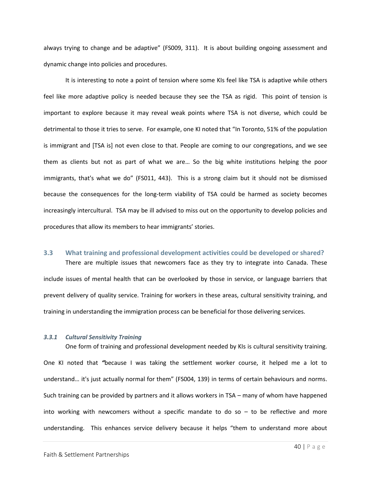always trying to change and be adaptive" (FS009, 311). It is about building ongoing assessment and dynamic change into policies and procedures.

It is interesting to note a point of tension where some KIs feel like TSA is adaptive while others feel like more adaptive policy is needed because they see the TSA as rigid. This point of tension is important to explore because it may reveal weak points where TSA is not diverse, which could be detrimental to those it tries to serve. For example, one KI noted that "In Toronto, 51% of the population is immigrant and [TSA is] not even close to that. People are coming to our congregations, and we see them as clients but not as part of what we are… So the big white institutions helping the poor immigrants, that's what we do" (FS011, 443). This is a strong claim but it should not be dismissed because the consequences for the long-term viability of TSA could be harmed as society becomes increasingly intercultural. TSA may be ill advised to miss out on the opportunity to develop policies and procedures that allow its members to hear immigrants' stories.

# <span id="page-40-0"></span>**3.3 What training and professional development activities could be developed or shared?**

There are multiple issues that newcomers face as they try to integrate into Canada. These include issues of mental health that can be overlooked by those in service, or language barriers that prevent delivery of quality service. Training for workers in these areas, cultural sensitivity training, and training in understanding the immigration process can be beneficial for those delivering services.

## *3.3.1 Cultural Sensitivity Training*

One form of training and professional development needed by KIs is cultural sensitivity training. One KI noted that *"*because I was taking the settlement worker course, it helped me a lot to understand… it's just actually normal for them" (FS004, 139) in terms of certain behaviours and norms. Such training can be provided by partners and it allows workers in TSA – many of whom have happened into working with newcomers without a specific mandate to do so  $-$  to be reflective and more understanding. This enhances service delivery because it helps "them to understand more about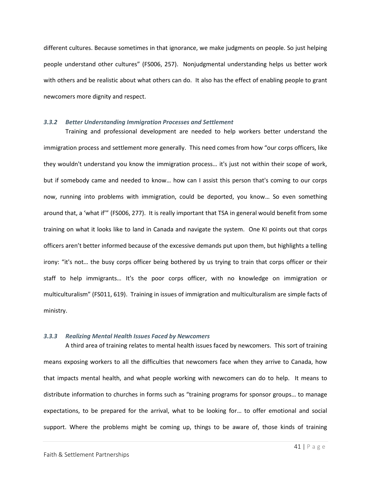different cultures. Because sometimes in that ignorance, we make judgments on people. So just helping people understand other cultures" (FS006, 257). Nonjudgmental understanding helps us better work with others and be realistic about what others can do. It also has the effect of enabling people to grant newcomers more dignity and respect.

#### *3.3.2 Better Understanding Immigration Processes and Settlement*

Training and professional development are needed to help workers better understand the immigration process and settlement more generally. This need comes from how "our corps officers, like they wouldn't understand you know the immigration process… it's just not within their scope of work, but if somebody came and needed to know… how can I assist this person that's coming to our corps now, running into problems with immigration, could be deported, you know… So even something around that, a 'what if'" (FS006, 277). It is really important that TSA in general would benefit from some training on what it looks like to land in Canada and navigate the system. One KI points out that corps officers aren't better informed because of the excessive demands put upon them, but highlights a telling irony: "it's not… the busy corps officer being bothered by us trying to train that corps officer or their staff to help immigrants… It's the poor corps officer, with no knowledge on immigration or multiculturalism" (FS011, 619). Training in issues of immigration and multiculturalism are simple facts of ministry.

# *3.3.3 Realizing Mental Health Issues Faced by Newcomers*

A third area of training relates to mental health issues faced by newcomers.This sort of training means exposing workers to all the difficulties that newcomers face when they arrive to Canada, how that impacts mental health, and what people working with newcomers can do to help. It means to distribute information to churches in forms such as "training programs for sponsor groups… to manage expectations, to be prepared for the arrival, what to be looking for… to offer emotional and social support. Where the problems might be coming up, things to be aware of, those kinds of training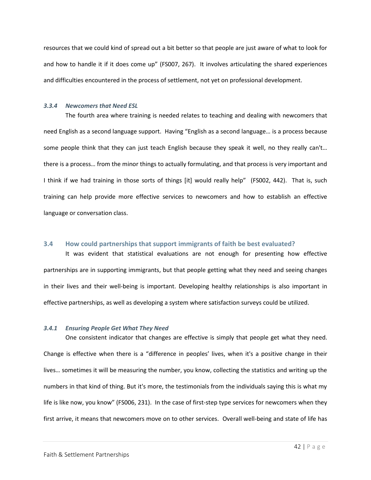resources that we could kind of spread out a bit better so that people are just aware of what to look for and how to handle it if it does come up" (FS007, 267). It involves articulating the shared experiences and difficulties encountered in the process of settlement, not yet on professional development.

# *3.3.4 Newcomers that Need ESL*

The fourth area where training is needed relates to teaching and dealing with newcomers that need English as a second language support. Having "English as a second language… is a process because some people think that they can just teach English because they speak it well, no they really can't... there is a process… from the minor things to actually formulating, and that process is very important and I think if we had training in those sorts of things [it] would really help" (FS002, 442). That is, such training can help provide more effective services to newcomers and how to establish an effective language or conversation class.

# <span id="page-42-0"></span>**3.4 How could partnerships that support immigrants of faith be best evaluated?**

It was evident that statistical evaluations are not enough for presenting how effective partnerships are in supporting immigrants, but that people getting what they need and seeing changes in their lives and their well-being is important. Developing healthy relationships is also important in effective partnerships, as well as developing a system where satisfaction surveys could be utilized.

# *3.4.1 Ensuring People Get What They Need*

One consistent indicator that changes are effective is simply that people get what they need. Change is effective when there is a "difference in peoples' lives, when it's a positive change in their lives… sometimes it will be measuring the number, you know, collecting the statistics and writing up the numbers in that kind of thing. But it's more, the testimonials from the individuals saying this is what my life is like now, you know" (FS006, 231). In the case of first-step type services for newcomers when they first arrive, it means that newcomers move on to other services. Overall well-being and state of life has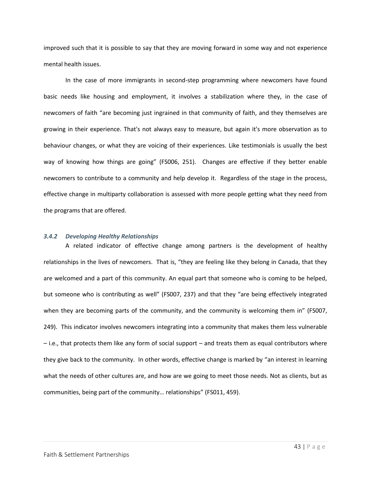improved such that it is possible to say that they are moving forward in some way and not experience mental health issues.

In the case of more immigrants in second-step programming where newcomers have found basic needs like housing and employment, it involves a stabilization where they, in the case of newcomers of faith "are becoming just ingrained in that community of faith, and they themselves are growing in their experience. That's not always easy to measure, but again it's more observation as to behaviour changes, or what they are voicing of their experiences. Like testimonials is usually the best way of knowing how things are going" (FS006, 251). Changes are effective if they better enable newcomers to contribute to a community and help develop it. Regardless of the stage in the process, effective change in multiparty collaboration is assessed with more people getting what they need from the programs that are offered.

#### *3.4.2 Developing Healthy Relationships*

A related indicator of effective change among partners is the development of healthy relationships in the lives of newcomers. That is, "they are feeling like they belong in Canada, that they are welcomed and a part of this community. An equal part that someone who is coming to be helped, but someone who is contributing as well" (FS007, 237) and that they "are being effectively integrated when they are becoming parts of the community, and the community is welcoming them in" (FS007, 249). This indicator involves newcomers integrating into a community that makes them less vulnerable – i.e., that protects them like any form of social support – and treats them as equal contributors where they give back to the community. In other words, effective change is marked by "an interest in learning what the needs of other cultures are, and how are we going to meet those needs. Not as clients, but as communities, being part of the community… relationships" (FS011, 459).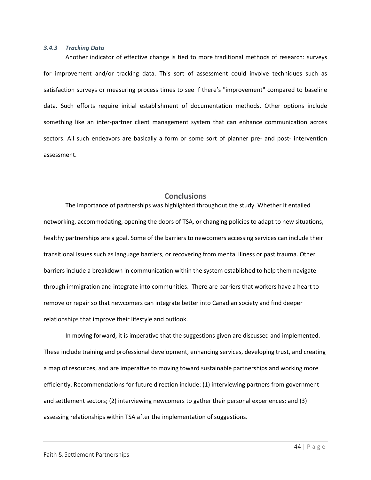#### *3.4.3 Tracking Data*

Another indicator of effective change is tied to more traditional methods of research: surveys for improvement and/or tracking data. This sort of assessment could involve techniques such as satisfaction surveys or measuring process times to see if there's "improvement" compared to baseline data. Such efforts require initial establishment of documentation methods. Other options include something like an inter-partner client management system that can enhance communication across sectors. All such endeavors are basically a form or some sort of planner pre- and post- intervention assessment.

# **Conclusions**

<span id="page-44-0"></span>The importance of partnerships was highlighted throughout the study. Whether it entailed networking, accommodating, opening the doors of TSA, or changing policies to adapt to new situations, healthy partnerships are a goal. Some of the barriers to newcomers accessing services can include their transitional issues such as language barriers, or recovering from mental illness or past trauma. Other barriers include a breakdown in communication within the system established to help them navigate through immigration and integrate into communities. There are barriers that workers have a heart to remove or repair so that newcomers can integrate better into Canadian society and find deeper relationships that improve their lifestyle and outlook.

In moving forward, it is imperative that the suggestions given are discussed and implemented. These include training and professional development, enhancing services, developing trust, and creating a map of resources, and are imperative to moving toward sustainable partnerships and working more efficiently. Recommendations for future direction include: (1) interviewing partners from government and settlement sectors; (2) interviewing newcomers to gather their personal experiences; and (3) assessing relationships within TSA after the implementation of suggestions.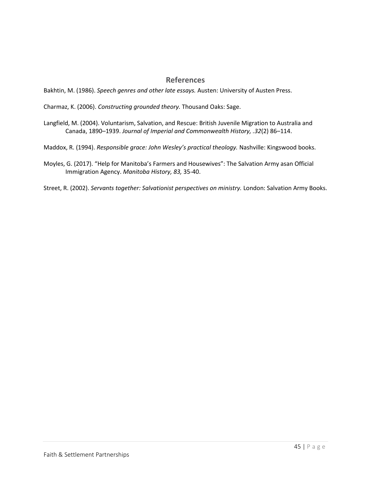# **References**

<span id="page-45-0"></span>Bakhtin, M. (1986). *Speech genres and other late essays.* Austen: University of Austen Press.

Charmaz, K. (2006). *Constructing grounded theory.* Thousand Oaks: Sage.

Langfield, M. (2004). Voluntarism, Salvation, and Rescue: British Juvenile Migration to Australia and Canada, 1890–1939. *Journal of Imperial and Commonwealth History, .32*(2) 86–114.

Maddox, R. (1994). *Responsible grace: John Wesley's practical theology.* Nashville: Kingswood books.

Moyles, G. (2017). "Help for Manitoba's Farmers and Housewives": The Salvation Army asan Official Immigration Agency. *Manitoba History, 83,* 35-40.

Street, R. (2002). *Servants together: Salvationist perspectives on ministry.* London: Salvation Army Books.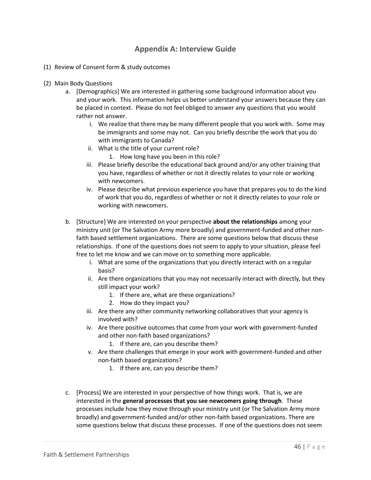# **Appendix A: Interview Guide**

- <span id="page-46-0"></span>(1) Review of Consent form & study outcomes
- (2) Main Body Questions
	- a. [Demographics] We are interested in gathering some background information about you and your work. This information helps us better understand your answers because they can be placed in context. Please do not feel obliged to answer any questions that you would rather not answer.
		- i. We realize that there may be many different people that you work with. Some may be immigrants and some may not. Can you briefly describe the work that you do with immigrants to Canada?
		- ii. What is the title of your current role?
			- 1. How long have you been in this role?
		- iii. Please briefly describe the educational back ground and/or any other training that you have, regardless of whether or not it directly relates to your role or working with newcomers.
		- iv. Please describe what previous experience you have that prepares you to do the kind of work that you do, regardless of whether or not it directly relates to your role or working with newcomers.
	- b. [Structure] We are interested on your perspective **about the relationships** among your ministry unit (or The Salvation Army more broadly) and government-funded and other nonfaith based settlement organizations. There are some questions below that discuss these relationships. If one of the questions does not seem to apply to your situation, please feel free to let me know and we can move on to something more applicable.
		- i. What are some of the organizations that you directly interact with on a regular basis?
		- ii. Are there organizations that you may not necessarily interact with directly, but they still impact your work?
			- 1. If there are, what are these organizations?
			- 2. How do they impact you?
		- iii. Are there any other community networking collaboratives that your agency is involved with?
		- iv. Are there positive outcomes that come from your work with government-funded and other non-faith based organizations?
			- 1. If there are, can you describe them?
		- v. Are there challenges that emerge in your work with government-funded and other non-faith based organizations?
			- 1. If there are, can you describe them?
	- c. [Process] We are interested in your perspective of how things work. That is, we are interested in the **general processes that you see newcomers going through**. These processes include how they move through your ministry unit (or The Salvation Army more broadly) and government-funded and/or other non-faith based organizations. There are some questions below that discuss these processes. If one of the questions does not seem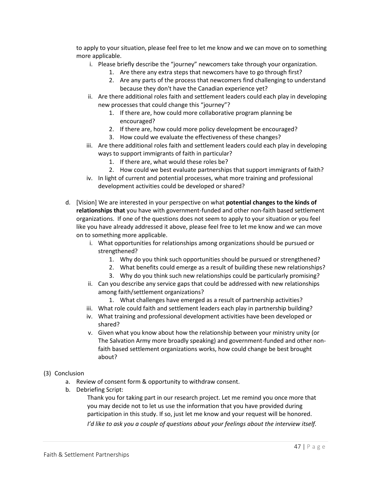to apply to your situation, please feel free to let me know and we can move on to something more applicable.

- i. Please briefly describe the "journey" newcomers take through your organization.
	- 1. Are there any extra steps that newcomers have to go through first?
	- 2. Are any parts of the process that newcomers find challenging to understand because they don't have the Canadian experience yet?
- ii. Are there additional roles faith and settlement leaders could each play in developing new processes that could change this "journey"?
	- 1. If there are, how could more collaborative program planning be encouraged?
	- 2. If there are, how could more policy development be encouraged?
	- 3. How could we evaluate the effectiveness of these changes?
- iii. Are there additional roles faith and settlement leaders could each play in developing ways to support immigrants of faith in particular?
	- 1. If there are, what would these roles be?
	- 2. How could we best evaluate partnerships that support immigrants of faith?
- iv. In light of current and potential processes, what more training and professional development activities could be developed or shared?
- d. [Vision] We are interested in your perspective on what **potential changes to the kinds of relationships that** you have with government-funded and other non-faith based settlement organizations. If one of the questions does not seem to apply to your situation or you feel like you have already addressed it above, please feel free to let me know and we can move on to something more applicable.
	- i. What opportunities for relationships among organizations should be pursued or strengthened?
		- 1. Why do you think such opportunities should be pursued or strengthened?
		- 2. What benefits could emerge as a result of building these new relationships?
		- 3. Why do you think such new relationships could be particularly promising?
	- ii. Can you describe any service gaps that could be addressed with new relationships among faith/settlement organizations?
		- 1. What challenges have emerged as a result of partnership activities?
	- iii. What role could faith and settlement leaders each play in partnership building?
	- iv. What training and professional development activities have been developed or shared?
	- v. Given what you know about how the relationship between your ministry unity (or The Salvation Army more broadly speaking) and government-funded and other nonfaith based settlement organizations works, how could change be best brought about?
- (3) Conclusion
	- a. Review of consent form & opportunity to withdraw consent.
	- b. Debriefing Script:

Thank you for taking part in our research project. Let me remind you once more that you may decide not to let us use the information that you have provided during participation in this study. If so, just let me know and your request will be honored. *I'd like to ask you a couple of questions about your feelings about the interview itself.*